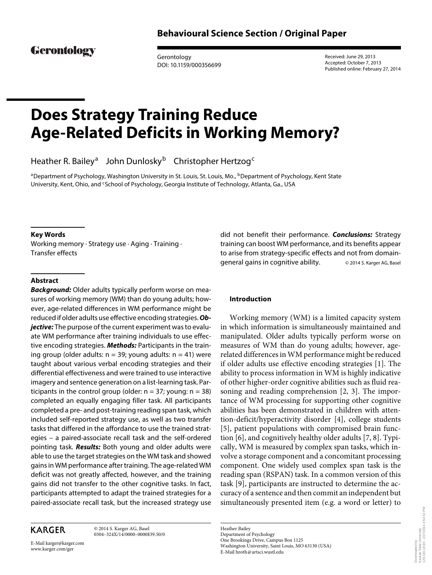# **Gerontology**

 Gerontology DOI: 10.1159/000356699  Received: June 29, 2013 Accepted: October 7, 2013 Published online: February 27, 2014

# **Does Strategy Training Reduce Age-Related Deficits in Working Memory?**

Heather R. Bailey<sup>a</sup> John Dunlosky<sup>b</sup> Christopher Hertzog<sup>c</sup>

<sup>a</sup> Department of Psychology, Washington University in St. Louis, St. Louis, Mo., <sup>b</sup> Department of Psychology, Kent State University, Kent, Ohio, and <sup>c</sup> School of Psychology, Georgia Institute of Technology, Atlanta, Ga., USA

### **Key Words**

 Working memory · Strategy use · Aging · Training · Transfer effects

# **Abstract**

**Background:** Older adults typically perform worse on measures of working memory (WM) than do young adults; however, age-related differences in WM performance might be reduced if older adults use effective encoding strategies. **Objective:** The purpose of the current experiment was to evaluate WM performance after training individuals to use effective encoding strategies. **Methods:** Participants in the training group (older adults:  $n = 39$ ; young adults:  $n = 41$ ) were taught about various verbal encoding strategies and their differential effectiveness and were trained to use interactive imagery and sentence generation on a list-learning task. Participants in the control group (older:  $n = 37$ ; young:  $n = 38$ ) completed an equally engaging filler task. All participants completed a pre- and post-training reading span task, which included self-reported strategy use, as well as two transfer tasks that differed in the affordance to use the trained strategies – a paired-associate recall task and the self-ordered pointing task. **Results:** Both young and older adults were able to use the target strategies on the WM task and showed gains in WM performance after training. The age-related WM deficit was not greatly affected, however, and the training gains did not transfer to the other cognitive tasks. In fact, participants attempted to adapt the trained strategies for a paired-associate recall task, but the increased strategy use

# **KARGER**

 © 2014 S. Karger AG, Basel 0304–324X/14/0000–0000\$39.50/0

E-Mail karger@karger.com www.karger.com/ger

did not benefit their performance. **Conclusions:** Strategy training can boost WM performance, and its benefits appear to arise from strategy-specific effects and not from domaingeneral gains in cognitive ability. © 2014 S. Karger AG, Basel

# **Introduction**

 Working memory (WM) is a limited capacity system in which information is simultaneously maintained and manipulated. Older adults typically perform worse on measures of WM than do young adults; however, agerelated differences in WM performance might be reduced if older adults use effective encoding strategies [1] . The ability to process information in WM is highly indicative of other higher-order cognitive abilities such as fluid reasoning and reading comprehension  $[2, 3]$ . The importance of WM processing for supporting other cognitive abilities has been demonstrated in children with attention-deficit/hyperactivity disorder [4], college students [5], patient populations with compromised brain function  $[6]$ , and cognitively healthy older adults  $[7, 8]$ . Typically, WM is measured by complex span tasks, which involve a storage component and a concomitant processing component. One widely used complex span task is the reading span (RSPAN) task. In a common version of this task [9], participants are instructed to determine the accuracy of a sentence and then commit an independent but simultaneously presented item (e.g. a word or letter) to

 Heather Bailey Department of Psychology One Brookings Drive, Campus Box 1125 Washington University, Saint Louis, MO 63130 (USA) E-Mail hroth @ artsci.wustl.edu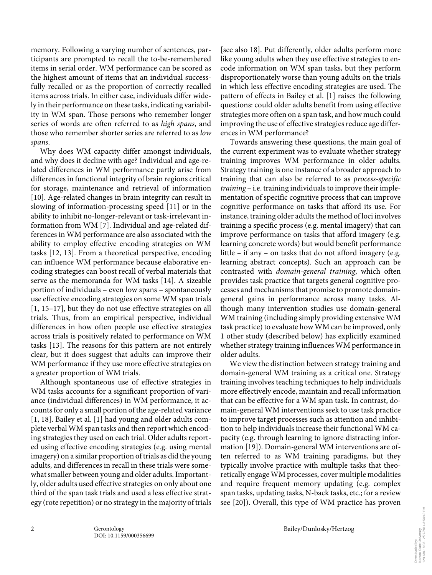memory. Following a varying number of sentences, participants are prompted to recall the to-be-remembered items in serial order. WM performance can be scored as the highest amount of items that an individual successfully recalled or as the proportion of correctly recalled items across trials. In either case, individuals differ widely in their performance on these tasks, indicating variability in WM span. Those persons who remember longer series of words are often referred to as *high spans* , and those who remember shorter series are referred to as *low spans* .

 Why does WM capacity differ amongst individuals, and why does it decline with age? Individual and age-related differences in WM performance partly arise from differences in functional integrity of brain regions critical for storage, maintenance and retrieval of information [10]. Age-related changes in brain integrity can result in slowing of information-processing speed [11] or in the ability to inhibit no-longer-relevant or task-irrelevant information from WM [7]. Individual and age-related differences in WM performance are also associated with the ability to employ effective encoding strategies on WM tasks [12, 13]. From a theoretical perspective, encoding can influence WM performance because elaborative encoding strategies can boost recall of verbal materials that serve as the memoranda for WM tasks [14]. A sizeable portion of individuals – even low spans – spontaneously use effective encoding strategies on some WM span trials [1, 15–17] , but they do not use effective strategies on all trials. Thus, from an empirical perspective, individual differences in how often people use effective strategies across trials is positively related to performance on WM tasks [13]. The reasons for this pattern are not entirely clear, but it does suggest that adults can improve their WM performance if they use more effective strategies on a greater proportion of WM trials.

 Although spontaneous use of effective strategies in WM tasks accounts for a significant proportion of variance (individual differences) in WM performance, it accounts for only a small portion of the age-related variance [1, 18]. Bailey et al. [1] had young and older adults complete verbal WM span tasks and then report which encoding strategies they used on each trial. Older adults reported using effective encoding strategies (e.g. using mental imagery) on a similar proportion of trials as did the young adults, and differences in recall in these trials were somewhat smaller between young and older adults. Importantly, older adults used effective strategies on only about one third of the span task trials and used a less effective strategy (rote repetition) or no strategy in the majority of trials [see also 18]. Put differently, older adults perform more like young adults when they use effective strategies to encode information on WM span tasks, but they perform disproportionately worse than young adults on the trials in which less effective encoding strategies are used. The pattern of effects in Bailey et al. [1] raises the following questions: could older adults benefit from using effective strategies more often on a span task, and how much could improving the use of effective strategies reduce age differences in WM performance?

 Towards answering these questions, the main goal of the current experiment was to evaluate whether strategy training improves WM performance in older adults. Strategy training is one instance of a broader approach to training that can also be referred to as *process-specific training* – i.e. training individuals to improve their implementation of specific cognitive process that can improve cognitive performance on tasks that afford its use. For instance, training older adults the method of loci involves training a specific process (e.g. mental imagery) that can improve performance on tasks that afford imagery (e.g. learning concrete words) but would benefit performance little – if any – on tasks that do not afford imagery (e.g. learning abstract concepts). Such an approach can be contrasted with *domain-general training*, which often provides task practice that targets general cognitive processes and mechanisms that promise to promote domaingeneral gains in performance across many tasks. Although many intervention studies use domain-general WM training (including simply providing extensive WM task practice) to evaluate how WM can be improved, only 1 other study (described below) has explicitly examined whether strategy training influences WM performance in older adults.

 We view the distinction between strategy training and domain-general WM training as a critical one. Strategy training involves teaching techniques to help individuals more effectively encode, maintain and recall information that can be effective for a WM span task. In contrast, domain-general WM interventions seek to use task practice to improve target processes such as attention and inhibition to help individuals increase their functional WM capacity (e.g. through learning to ignore distracting information [19]). Domain-general WM interventions are often referred to as WM training paradigms, but they typically involve practice with multiple tasks that theoretically engage WM processes, cover multiple modalities and require frequent memory updating (e.g. complex span tasks, updating tasks, N-back tasks, etc.; for a review see [20]). Overall, this type of WM practice has proven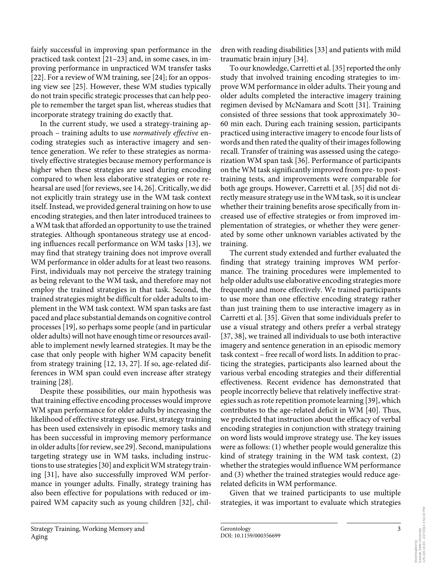fairly successful in improving span performance in the practiced task context [21–23] and, in some cases, in improving performance in unpracticed WM transfer tasks [22]. For a review of WM training, see [24]; for an opposing view see [25]. However, these WM studies typically do not train specific strategic processes that can help people to remember the target span list, whereas studies that incorporate strategy training do exactly that.

 In the current study, we used a strategy-training approach – training adults to use *normatively effective* encoding strategies such as interactive imagery and sentence generation. We refer to these strategies as normatively effective strategies because memory performance is higher when these strategies are used during encoding compared to when less elaborative strategies or rote rehearsal are used [for reviews, see 14, 26]. Critically, we did not explicitly train strategy use in the WM task context itself. Instead, we provided general training on how to use encoding strategies, and then later introduced trainees to a WM task that afforded an opportunity to use the trained strategies. Although spontaneous strategy use at encoding influences recall performance on WM tasks [13], we may find that strategy training does not improve overall WM performance in older adults for at least two reasons. First, individuals may not perceive the strategy training as being relevant to the WM task, and therefore may not employ the trained strategies in that task. Second, the trained strategies might be difficult for older adults to implement in the WM task context. WM span tasks are fast paced and place substantial demands on cognitive control processes [19] , so perhaps some people (and in particular older adults) will not have enough time or resources available to implement newly learned strategies. It may be the case that only people with higher WM capacity benefit from strategy training [12, 13, 27]. If so, age-related differences in WM span could even increase after strategy training [28].

 Despite these possibilities, our main hypothesis was that training effective encoding processes would improve WM span performance for older adults by increasing the likelihood of effective strategy use. First, strategy training has been used extensively in episodic memory tasks and has been successful in improving memory performance in older adults [for review, see 29]. Second, manipulations targeting strategy use in WM tasks, including instructions to use strategies [30] and explicit WM strategy training [31], have also successfully improved WM performance in younger adults. Finally, strategy training has also been effective for populations with reduced or impaired WM capacity such as young children [32], chil-

 Strategy Training, Working Memory and Aging

dren with reading disabilities [33] and patients with mild traumatic brain injury [34] .

 To our knowledge, Carretti et al. [35] reported the only study that involved training encoding strategies to improve WM performance in older adults. Their young and older adults completed the interactive imagery training regimen devised by McNamara and Scott [31] . Training consisted of three sessions that took approximately 30– 60 min each. During each training session, participants practiced using interactive imagery to encode four lists of words and then rated the quality of their images following recall. Transfer of training was assessed using the categorization WM span task [36] . Performance of participants on the WM task significantly improved from pre- to posttraining tests, and improvements were comparable for both age groups. However, Carretti et al. [35] did not directly measure strategy use in the WM task, so it is unclear whether their training benefits arose specifically from increased use of effective strategies or from improved implementation of strategies, or whether they were generated by some other unknown variables activated by the training.

 The current study extended and further evaluated the finding that strategy training improves WM performance. The training procedures were implemented to help older adults use elaborative encoding strategies more frequently and more effectively. We trained participants to use more than one effective encoding strategy rather than just training them to use interactive imagery as in Carretti et al. [35] . Given that some individuals prefer to use a visual strategy and others prefer a verbal strategy [37, 38], we trained all individuals to use both interactive imagery and sentence generation in an episodic memory task context – free recall of word lists. In addition to practicing the strategies, participants also learned about the various verbal encoding strategies and their differential effectiveness. Recent evidence has demonstrated that people incorrectly believe that relatively ineffective strategies such as rote repetition promote learning [39] , which contributes to the age-related deficit in WM [40]. Thus, we predicted that instruction about the efficacy of verbal encoding strategies in conjunction with strategy training on word lists would improve strategy use. The key issues were as follows: (1) whether people would generalize this kind of strategy training in the WM task context, (2) whether the strategies would influence WM performance and (3) whether the trained strategies would reduce agerelated deficits in WM performance.

 Given that we trained participants to use multiple strategies, it was important to evaluate which strategies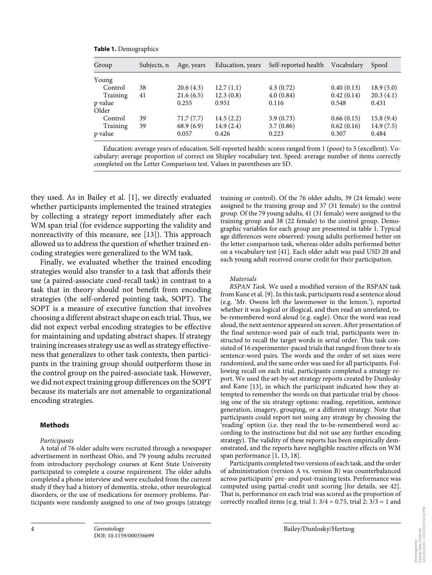| Table 1. Demographics |  |
|-----------------------|--|
|-----------------------|--|

| Group    | Subjects, n | Age, years | Education, years | Self-reported health | Vocabulary | Speed     |
|----------|-------------|------------|------------------|----------------------|------------|-----------|
| Young    |             |            |                  |                      |            |           |
| Control  | 38          | 20.6(4.3)  | 12.7(1.1)        | 4.3(0.72)            | 0.40(0.13) | 18.9(5.0) |
| Training | 41          | 21.6(6.5)  | 12.3(0.8)        | 4.0(0.84)            | 0.42(0.14) | 20.3(4.1) |
| p value  |             | 0.255      | 0.951            | 0.116                | 0.548      | 0.431     |
| Older    |             |            |                  |                      |            |           |
| Control  | 39          | 71.7(7.7)  | 14.5(2.2)        | 3.9(0.73)            | 0.66(0.15) | 15.8(9.4) |
| Training | 39          | 68.9(6.9)  | 14.9(2.4)        | 3.7(0.86)            | 0.62(0.16) | 14.9(7.5) |
| p value  |             | 0.057      | 0.426            | 0.223                | 0.307      | 0.484     |

 Education: average years of education. Self-reported health: scores ranged from 1 (poor) to 5 (excellent). Vocabulary: average proportion of correct on Shipley vocabulary test. Speed: average number of items correctly completed on the Letter Comparison test. Values in parentheses are SD.

they used. As in Bailey et al. [1], we directly evaluated whether participants implemented the trained strategies by collecting a strategy report immediately after each WM span trial (for evidence supporting the validity and nonreactivity of this measure, see [13]). This approach allowed us to address the question of whether trained encoding strategies were generalized to the WM task.

 Finally, we evaluated whether the trained encoding strategies would also transfer to a task that affords their use (a paired-associate cued-recall task) in contrast to a task that in theory should not benefit from encoding strategies (the self-ordered pointing task, SOPT). The SOPT is a measure of executive function that involves choosing a different abstract shape on each trial. Thus, we did not expect verbal encoding strategies to be effective for maintaining and updating abstract shapes. If strategy training increases strategy use as well as strategy effectiveness that generalizes to other task contexts, then participants in the training group should outperform those in the control group on the paired-associate task. However, we did not expect training group differences on the SOPT because its materials are not amenable to organizational encoding strategies.

#### **Methods**

#### *Participants*

 A total of 76 older adults were recruited through a newspaper advertisement in northeast Ohio, and 79 young adults recruited from introductory psychology courses at Kent State University participated to complete a course requirement. The older adults completed a phone interview and were excluded from the current study if they had a history of dementia, stroke, other neurological disorders, or the use of medications for memory problems. Participants were randomly assigned to one of two groups (strategy

training or control). Of the 76 older adults, 39 (24 female) were assigned to the training group and 37 (31 female) to the control group. Of the 79 young adults, 41 (31 female) were assigned to the training group and 38 (22 female) to the control group. Demographic variables for each group are presented in table 1. Typical age differences were observed: young adults performed better on the letter comparison task, whereas older adults performed better on a vocabulary test [41] . Each older adult was paid USD 20 and each young adult received course credit for their participation.

#### *Materials*

*RSPAN Task.* We used a modified version of the RSPAN task from Kane et al. [9]. In this task, participants read a sentence aloud (e.g. 'Mr. Owens left the lawnmower in the lemon.'), reported whether it was logical or illogical, and then read an unrelated, tobe-remembered word aloud (e.g. eagle). Once the word was read aloud, the next sentence appeared on screen. After presentation of the final sentence-word pair of each trial, participants were instructed to recall the target words in serial order. This task consisted of 16 experimenter-paced trials that ranged from three to six sentence-word pairs. The words and the order of set sizes were randomized, and the same order was used for all participants. Following recall on each trial, participants completed a strategy report. We used the set-by-set strategy reports created by Dunlosky and Kane [13], in which the participant indicated how they attempted to remember the words on that particular trial by choosing one of the six strategy options: reading, repetition, sentence generation, imagery, grouping, or a different strategy. Note that participants could report not using any strategy by choosing the 'reading' option (i.e. they read the to-be-remembered word according to the instructions but did not use any further encoding strategy). The validity of these reports has been empirically demonstrated, and the reports have negligible reactive effects on WM span performance [1, 13, 18].

 Participants completed two versions of each task, and the order of administration (version A vs. version B) was counterbalanced across participants' pre- and post-training tests. Performance was computed using partial-credit unit scoring [for details, see 42 ]. That is, performance on each trial was scored as the proportion of correctly recalled items (e.g. trial 1:  $3/4 = 0.75$ , trial 2:  $3/3 = 1$  and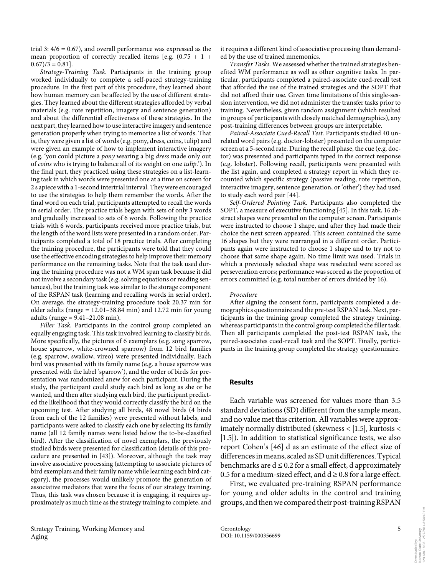trial 3: 4/6 = 0.67), and overall performance was expressed as the mean proportion of correctly recalled items [e.g.  $(0.75 + 1 +$  $0.67)/3 = 0.81$ .

*Strategy-Training Task.* Participants in the training group worked individually to complete a self-paced strategy-training procedure. In the first part of this procedure, they learned about how human memory can be affected by the use of different strategies. They learned about the different strategies afforded by verbal materials (e.g. rote repetition, imagery and sentence generation) and about the differential effectiveness of these strategies. In the next part, they learned how to use interactive imagery and sentence generation properly when trying to memorize a list of words. That is, they were given a list of words (e.g. pony, dress, coins, tulip) and were given an example of how to implement interactive imagery (e.g. 'you could picture a *pony* wearing a big *dress* made only out of *coins* who is trying to balance all of its weight on one *tulip* .'). In the final part, they practiced using these strategies on a list-learning task in which words were presented one at a time on screen for 2 s apiece with a 1-second intertrial interval. They were encouraged to use the strategies to help them remember the words. After the final word on each trial, participants attempted to recall the words in serial order. The practice trials began with sets of only 3 words and gradually increased to sets of 6 words. Following the practice trials with 6 words, participants received more practice trials, but the length of the word lists were presented in a random order. Participants completed a total of 18 practice trials. After completing the training procedure, the participants were told that they could use the effective encoding strategies to help improve their memory performance on the remaining tasks. Note that the task used during the training procedure was not a WM span task because it did not involve a secondary task (e.g. solving equations or reading sentences), but the training task was similar to the storage component of the RSPAN task (learning and recalling words in serial order). On average, the strategy-training procedure took 20.37 min for older adults (range = 12.01–38.84 min) and 12.72 min for young adults (range  $= 9.41 - 21.08$  min).

*Filler Task.* Participants in the control group completed an equally engaging task. This task involved learning to classify birds. More specifically, the pictures of 6 exemplars (e.g. song sparrow, house sparrow, white-crowned sparrow) from 12 bird families (e.g. sparrow, swallow, vireo) were presented individually. Each bird was presented with its family name (e.g. a house sparrow was presented with the label 'sparrow'), and the order of birds for presentation was randomized anew for each participant. During the study, the participant could study each bird as long as she or he wanted, and then after studying each bird, the participant predicted the likelihood that they would correctly classify the bird on the upcoming test. After studying all birds, 48 novel birds (4 birds from each of the 12 families) were presented without labels, and participants were asked to classify each one by selecting its family name (all 12 family names were listed below the to-be-classified bird). After the classification of novel exemplars, the previously studied birds were presented for classification (details of this procedure are presented in [43] ). Moreover, although the task may involve associative processing (attempting to associate pictures of bird exemplars and their family name while learning each bird category), the processes would unlikely promote the generation of associative mediators that were the focus of our strategy training. Thus, this task was chosen because it is engaging, it requires approximately as much time as the strategy training to complete, and

it requires a different kind of associative processing than demanded by the use of trained mnemonics.

*Transfer Tasks.* We assessed whether the trained strategies benefited WM performance as well as other cognitive tasks. In particular, participants completed a paired-associate cued-recall test that afforded the use of the trained strategies and the SOPT that did not afford their use. Given time limitations of this single-session intervention, we did not administer the transfer tasks prior to training. Nevertheless, given random assignment (which resulted in groups of participants with closely matched demographics), any post-training differences between groups are interpretable.

*Paired-Associate Cued-Recall Test.* Participants studied 40 unrelated word pairs (e.g. doctor-lobster) presented on the computer screen at a 5-second rate. During the recall phase, the cue (e.g. doctor) was presented and participants typed in the correct response (e.g. lobster). Following recall, participants were presented with the list again, and completed a strategy report in which they recounted which specific strategy (passive reading, rote repetition, interactive imagery, sentence generation, or 'other') they had used to study each word pair [44] .

*Self-Ordered Pointing Task.* Participants also completed the SOPT, a measure of executive functioning [45] . In this task, 16 abstract shapes were presented on the computer screen. Participants were instructed to choose 1 shape, and after they had made their choice the next screen appeared. This screen contained the same 16 shapes but they were rearranged in a different order. Participants again were instructed to choose 1 shape and to try not to choose that same shape again. No time limit was used. Trials in which a previously selected shape was reselected were scored as perseveration errors; performance was scored as the proportion of errors committed (e.g. total number of errors divided by 16).

#### *Procedure*

 After signing the consent form, participants completed a demographics questionnaire and the pre-test RSPAN task. Next, participants in the training group completed the strategy training, whereas participants in the control group completed the filler task. Then all participants completed the post-test RSPAN task, the paired-associates cued-recall task and the SOPT. Finally, participants in the training group completed the strategy questionnaire.

#### **Results**

 Each variable was screened for values more than 3.5 standard deviations (SD) different from the sample mean, and no value met this criterion. All variables were approximately normally distributed (skewness < |1.5|, kurtosis < |1.5|). In addition to statistical significance tests, we also report Cohen's [46] d as an estimate of the effect size of differences in means, scaled as SD unit differences. Typical benchmarks are  $d \le 0.2$  for a small effect, d approximately 0.5 for a medium-sized effect, and  $d \ge 0.8$  for a large effect.

 First, we evaluated pre-training RSPAN performance for young and older adults in the control and training groups, and then we compared their post-training RSPAN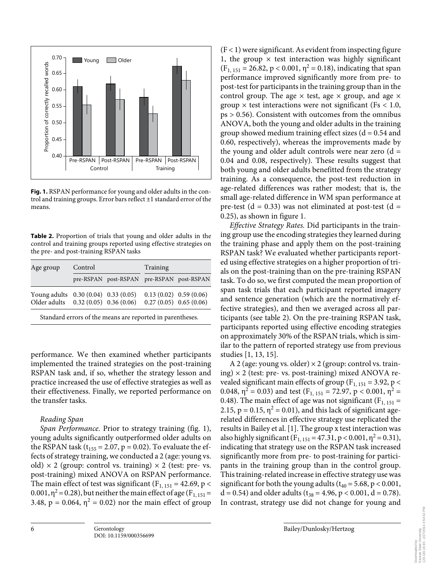

**Fig. 1.** RSPAN performance for young and older adults in the control and training groups. Error bars reflect ±1 standard error of the means.

**Table 2.** Proportion of trials that young and older adults in the control and training groups reported using effective strategies on the pre- and post-training RSPAN tasks

| Age group                                                                                            | Control |                                                           | Training |                          |  |
|------------------------------------------------------------------------------------------------------|---------|-----------------------------------------------------------|----------|--------------------------|--|
|                                                                                                      |         | pre-RSPAN post-RSPAN pre-RSPAN post-RSPAN                 |          |                          |  |
| Young adults 0.30 (0.04) 0.33 (0.05)<br>Older adults 0.32 (0.05) 0.36 (0.06) 0.27 (0.05) 0.65 (0.06) |         |                                                           |          | $0.13(0.02)$ 0.59 (0.06) |  |
|                                                                                                      |         | Standard errors of the means are reported in parentheses. |          |                          |  |

performance. We then examined whether participants implemented the trained strategies on the post-training RSPAN task and, if so, whether the strategy lesson and practice increased the use of effective strategies as well as their effectiveness. Finally, we reported performance on the transfer tasks.

# *Reading Span*

*Span Performance.* Prior to strategy training (fig. 1), young adults significantly outperformed older adults on the RSPAN task ( $t_{155} = 2.07$ ,  $p = 0.02$ ). To evaluate the effects of strategy training, we conducted a 2 (age: young vs. old)  $\times$  2 (group: control vs. training)  $\times$  2 (test: pre- vs. post-training) mixed ANOVA on RSPAN performance. The main effect of test was significant ( $F_{1, 151} = 42.69$ , p < 0.001,  $\eta^2$  = 0.28), but neither the main effect of age (F<sub>1,151</sub> = 3.48,  $p = 0.064$ ,  $\eta^2 = 0.02$ ) nor the main effect of group  $(F < 1)$  were significant. As evident from inspecting figure 1, the group  $\times$  test interaction was highly significant  $(F<sub>1, 151</sub> = 26.82, p < 0.001, \eta<sup>2</sup> = 0.18)$ , indicating that span performance improved significantly more from pre- to post-test for participants in the training group than in the control group. The age  $\times$  test, age  $\times$  group, and age  $\times$ group  $\times$  test interactions were not significant (Fs < 1.0, ps > 0.56). Consistent with outcomes from the omnibus ANOVA, both the young and older adults in the training group showed medium training effect sizes  $(d = 0.54$  and 0.60, respectively), whereas the improvements made by the young and older adult controls were near zero  $(d =$ 0.04 and 0.08, respectively). These results suggest that both young and older adults benefitted from the strategy training. As a consequence, the post-test reduction in age-related differences was rather modest; that is, the small age-related difference in WM span performance at pre-test ( $d = 0.33$ ) was not eliminated at post-test ( $d =$  $(0.25)$ , as shown in figure 1.

*Effective Strategy Rates.* Did participants in the training group use the encoding strategies they learned during the training phase and apply them on the post-training RSPAN task? We evaluated whether participants reported using effective strategies on a higher proportion of trials on the post-training than on the pre-training RSPAN task. To do so, we first computed the mean proportion of span task trials that each participant reported imagery and sentence generation (which are the normatively effective strategies), and then we averaged across all participants (see table 2). On the pre-training RSPAN task, participants reported using effective encoding strategies on approximately 30% of the RSPAN trials, which is similar to the pattern of reported strategy use from previous studies [1, 13, 15] .

A 2 (age: young vs. older)  $\times$  2 (group: control vs. training)  $\times$  2 (test: pre- vs. post-training) mixed ANOVA revealed significant main effects of group ( $F_{1, 151} = 3.92$ , p < 0.048,  $\eta^2 = 0.03$ ) and test (F<sub>1, 151</sub> = 72.97, p < 0.001,  $\eta^2 =$ 0.48). The main effect of age was not significant  $(F_{1, 151} =$ 2.15,  $p = 0.15$ ,  $\eta^2 = 0.01$ ), and this lack of significant agerelated differences in effective strategy use replicated the results in Bailey et al. [1] . The group x test interaction was also highly significant  $(F_{1, 151} = 47.31, p < 0.001, \eta^2 = 0.31)$ , indicating that strategy use on the RSPAN task increased significantly more from pre- to post-training for participants in the training group than in the control group. This training-related increase in effective strategy use was significant for both the young adults ( $t_{40}$  = 5.68, p < 0.001,  $d = 0.54$ ) and older adults ( $t_{38} = 4.96$ ,  $p < 0.001$ ,  $d = 0.78$ ). In contrast, strategy use did not change for young and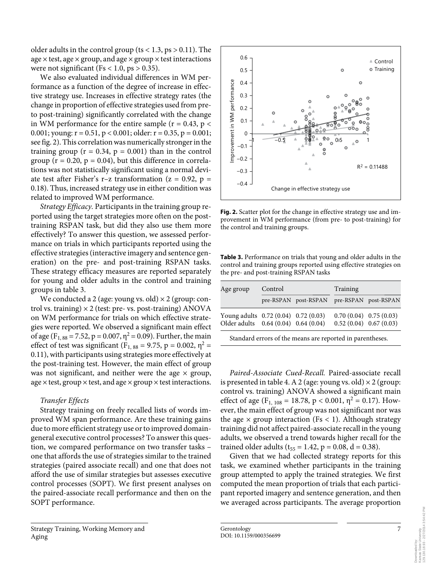older adults in the control group (ts  $< 1.3$ , ps  $> 0.11$ ). The age  $\times$  test, age  $\times$  group, and age  $\times$  group  $\times$  test interactions were not significant (Fs < 1.0, ps > 0.35).

 We also evaluated individual differences in WM performance as a function of the degree of increase in effective strategy use. Increases in effective strategy rates (the change in proportion of effective strategies used from preto post-training) significantly correlated with the change in WM performance for the entire sample ( $r = 0.43$ ,  $p <$ 0.001; young:  $r = 0.51$ ,  $p < 0.001$ ; older:  $r = 0.35$ ,  $p = 0.001$ ; see fig. 2). This correlation was numerically stronger in the training group ( $r = 0.34$ ,  $p = 0.001$ ) than in the control group ( $r = 0.20$ ,  $p = 0.04$ ), but this difference in correlations was not statistically significant using a normal deviate test after Fisher's r–z transformation ( $z = 0.92$ ,  $p =$ 0.18). Thus, increased strategy use in either condition was related to improved WM performance.

*Strategy Efficacy.* Participants in the training group reported using the target strategies more often on the posttraining RSPAN task, but did they also use them more effectively? To answer this question, we assessed performance on trials in which participants reported using the effective strategies (interactive imagery and sentence generation) on the pre- and post-training RSPAN tasks. These strategy efficacy measures are reported separately for young and older adults in the control and training groups in table 3.

We conducted a 2 (age: young vs. old)  $\times$  2 (group: control vs. training)  $\times$  2 (test: pre- vs. post-training) ANOVA on WM performance for trials on which effective strategies were reported. We observed a significant main effect of age ( $F_{1, 88} = 7.52$ ,  $p = 0.007$ ,  $\eta^2 = 0.09$ ). Further, the main effect of test was significant ( $F_{1, 88} = 9.75$ ,  $p = 0.002$ ,  $\eta^2 =$ 0.11), with participants using strategies more effectively at the post-training test. However, the main effect of group was not significant, and neither were the age  $\times$  group, age  $\times$  test, group  $\times$  test, and age  $\times$  group  $\times$  test interactions.

# *Transfer Effects*

 Strategy training on freely recalled lists of words improved WM span performance. Are these training gains due to more efficient strategy use or to improved domaingeneral executive control processes? To answer this question, we compared performance on two transfer tasks – one that affords the use of strategies similar to the trained strategies (paired associate recall) and one that does not afford the use of similar strategies but assesses executive control processes (SOPT). We first present analyses on the paired-associate recall performance and then on the SOPT performance.



**Fig. 2.** Scatter plot for the change in effective strategy use and improvement in WM performance (from pre- to post-training) for the control and training groups.

**Table 3.** Performance on trials that young and older adults in the control and training groups reported using effective strategies on the pre- and post-training RSPAN tasks

| Age group                                                                    | Control |                                                           | Training                   |                            |  |
|------------------------------------------------------------------------------|---------|-----------------------------------------------------------|----------------------------|----------------------------|--|
|                                                                              |         | pre-RSPAN post-RSPAN pre-RSPAN post-RSPAN                 |                            |                            |  |
| Young adults 0.72 (0.04) 0.72 (0.03)<br>Older adults 0.64 (0.04) 0.64 (0.04) |         |                                                           | $0.52(0.04)$ 0.67 $(0.03)$ | $0.70(0.04)$ 0.75 $(0.03)$ |  |
|                                                                              |         | Standard errors of the means are reported in parentheses. |                            |                            |  |

*Paired-Associate Cued-Recall.* Paired-associate recall is presented in table 4. A 2 (age: young vs. old)  $\times$  2 (group: control vs. training) ANOVA showed a significant main effect of age ( $F_{1, 108} = 18.78$ ,  $p < 0.001$ ,  $\eta^2 = 0.17$ ). However, the main effect of group was not significant nor was the age  $\times$  group interaction (Fs < 1). Although strategy training did not affect paired-associate recall in the young adults, we observed a trend towards higher recall for the trained older adults ( $t_{55} = 1.42$ ,  $p = 0.08$ ,  $d = 0.38$ ).

 Given that we had collected strategy reports for this task, we examined whether participants in the training group attempted to apply the trained strategies. We first computed the mean proportion of trials that each participant reported imagery and sentence generation, and then we averaged across participants. The average proportion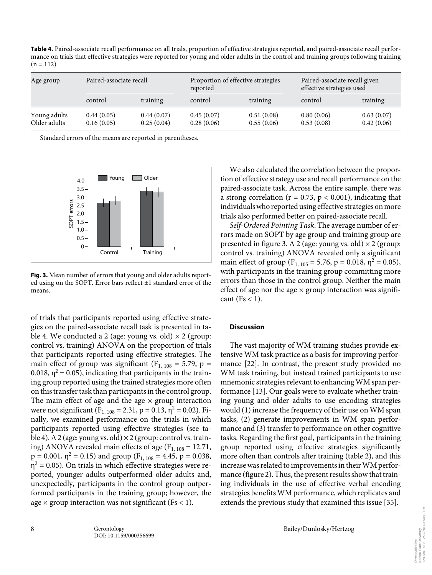**Table 4.** Paired-associate recall performance on all trials, proportion of effective strategies reported, and paired-associate recall performance on trials that effective strategies were reported for young and older adults in the control and training groups following training  $(n = 112)$ 

| Age group                   |            | Paired-associate recall |            | Proportion of effective strategies<br>reported |            | Paired-associate recall given<br>effective strategies used |  |
|-----------------------------|------------|-------------------------|------------|------------------------------------------------|------------|------------------------------------------------------------|--|
|                             | control    | training                | control    | training                                       | control    | training                                                   |  |
| Young adults                | 0.44(0.05) | 0.44(0.07)              | 0.45(0.07) | 0.51(0.08)                                     | 0.80(0.06) | 0.63(0.07)                                                 |  |
| Older adults                | 0.16(0.05) | 0.25(0.04)              | 0.28(0.06) | 0.55(0.06)                                     | 0.53(0.08) | 0.42(0.06)                                                 |  |
| $\sim$ $\sim$ $\sim$ $\sim$ |            |                         |            |                                                |            |                                                            |  |

Standard errors of the means are reported in parentheses.



**Fig. 3.** Mean number of errors that young and older adults reported using on the SOPT. Error bars reflect  $\pm 1$  standard error of the means.

of trials that participants reported using effective strategies on the paired-associate recall task is presented in table 4. We conducted a 2 (age: young vs. old)  $\times$  2 (group: control vs. training) ANOVA on the proportion of trials that participants reported using effective strategies. The main effect of group was significant ( $F<sub>1, 108</sub> = 5.79$ , p = 0.018,  $\eta^2$  = 0.05), indicating that participants in the training group reported using the trained strategies more often on this transfer task than participants in the control group. The main effect of age and the age  $\times$  group interaction were not significant (F<sub>1, 108</sub> = 2.31, p = 0.13,  $\eta^2$  = 0.02). Finally, we examined performance on the trials in which participants reported using effective strategies (see table 4). A 2 (age: young vs. old)  $\times$  2 (group: control vs. training) ANOVA revealed main effects of age  $(F<sub>1, 108</sub> = 12.71,$  $p = 0.001$ ,  $\eta^2 = 0.15$ ) and group (F<sub>1, 108</sub> = 4.45, p = 0.038,  $\eta^2$  = 0.05). On trials in which effective strategies were reported, younger adults outperformed older adults and, unexpectedly, participants in the control group outperformed participants in the training group; however, the age  $\times$  group interaction was not significant (Fs < 1).

 We also calculated the correlation between the proportion of effective strategy use and recall performance on the paired-associate task. Across the entire sample, there was a strong correlation ( $r = 0.73$ ,  $p < 0.001$ ), indicating that individuals who reported using effective strategies on more trials also performed better on paired-associate recall.

*Self-Ordered Pointing Task* . The average number of errors made on SOPT by age group and training group are presented in figure 3. A 2 (age: young vs. old)  $\times$  2 (group: control vs. training) ANOVA revealed only a significant main effect of group ( $F_{1, 105} = 5.76$ , p = 0.018,  $\eta^2 = 0.05$ ), with participants in the training group committing more errors than those in the control group. Neither the main effect of age nor the age  $\times$  group interaction was significant (Fs  $<$  1).

# **Discussion**

 The vast majority of WM training studies provide extensive WM task practice as a basis for improving performance [22]. In contrast, the present study provided no WM task training, but instead trained participants to use mnemonic strategies relevant to enhancing WM span performance [13]. Our goals were to evaluate whether training young and older adults to use encoding strategies would (1) increase the frequency of their use on WM span tasks, (2) generate improvements in WM span performance and (3) transfer to performance on other cognitive tasks. Regarding the first goal, participants in the training group reported using effective strategies significantly more often than controls after training (table 2), and this increase was related to improvements in their WM performance (figure 2). Thus, the present results show that training individuals in the use of effective verbal encoding strategies benefits WM performance, which replicates and extends the previous study that examined this issue [35] .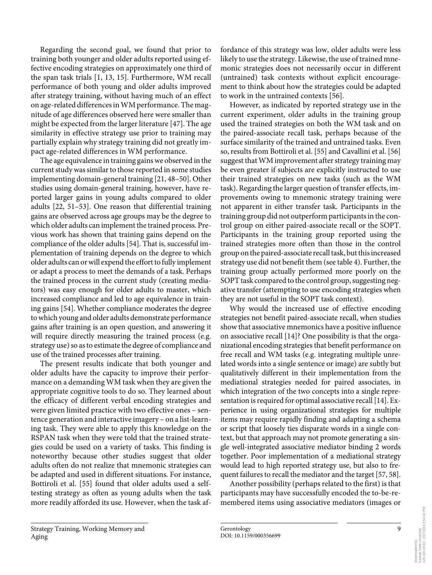Regarding the second goal, we found that prior to training both younger and older adults reported using effective encoding strategies on approximately one third of the span task trials [1, 13, 15]. Furthermore, WM recall performance of both young and older adults improved after strategy training, without having much of an effect on age-related differences in WM performance. The magnitude of age differences observed here were smaller than might be expected from the larger literature [47] . The age similarity in effective strategy use prior to training may partially explain why strategy training did not greatly impact age-related differences in WM performance.

 The age equivalence in training gains we observed in the current study was similar to those reported in some studies implementing domain-general training [21, 48–50] . Other studies using domain-general training, however, have reported larger gains in young adults compared to older adults [22, 51–53] . One reason that differential training gains are observed across age groups may be the degree to which older adults can implement the trained process. Previous work has shown that training gains depend on the compliance of the older adults [54] . That is, successful implementation of training depends on the degree to which older adults can or will expend the effort to fully implement or adapt a process to meet the demands of a task. Perhaps the trained process in the current study (creating mediators) was easy enough for older adults to master, which increased compliance and led to age equivalence in training gains [54] . Whether compliance moderates the degree to which young and older adults demonstrate performance gains after training is an open question, and answering it will require directly measuring the trained process (e.g. strategy use) so as to estimate the degree of compliance and use of the trained processes after training.

 The present results indicate that both younger and older adults have the capacity to improve their performance on a demanding WM task when they are given the appropriate cognitive tools to do so. They learned about the efficacy of different verbal encoding strategies and were given limited practice with two effective ones – sentence generation and interactive imagery – on a list-learning task. They were able to apply this knowledge on the RSPAN task when they were told that the trained strategies could be used on a variety of tasks. This finding is noteworthy because other studies suggest that older adults often do not realize that mnemonic strategies can be adapted and used in different situations. For instance, Bottiroli et al. [55] found that older adults used a selftesting strategy as often as young adults when the task more readily afforded its use. However, when the task affordance of this strategy was low, older adults were less likely to use the strategy. Likewise, the use of trained mnemonic strategies does not necessarily occur in different (untrained) task contexts without explicit encouragement to think about how the strategies could be adapted to work in the untrained contexts [56] .

 However, as indicated by reported strategy use in the current experiment, older adults in the training group used the trained strategies on both the WM task and on the paired-associate recall task, perhaps because of the surface similarity of the trained and untrained tasks. Even so, results from Bottiroli et al. [55] and Cavallini et al. [56] suggest that WM improvement after strategy training may be even greater if subjects are explicitly instructed to use their trained strategies on new tasks (such as the WM task). Regarding the larger question of transfer effects, improvements owing to mnemonic strategy training were not apparent in either transfer task. Participants in the training group did not outperform participants in the control group on either paired-associate recall or the SOPT. Participants in the training group reported using the trained strategies more often than those in the control group on the paired-associate recall task, but this increased strategy use did not benefit them (see table 4). Further, the training group actually performed more poorly on the SOPT task compared to the control group, suggesting negative transfer (attempting to use encoding strategies when they are not useful in the SOPT task context).

 Why would the increased use of effective encoding strategies not benefit paired-associate recall, when studies show that associative mnemonics have a positive influence on associative recall [14] ? One possibility is that the organizational encoding strategies that benefit performance on free recall and WM tasks (e.g. integrating multiple unrelated words into a single sentence or image) are subtly but qualitatively different in their implementation from the mediational strategies needed for paired associates, in which integration of the two concepts into a single representation is required for optimal associative recall [14] . Experience in using organizational strategies for multiple items may require rapidly finding and adapting a schema or script that loosely ties disparate words in a single context, but that approach may not promote generating a single well-integrated associative mediator binding 2 words together. Poor implementation of a mediational strategy would lead to high reported strategy use, but also to frequent failures to recall the mediator and the target [57, 58] .

 Another possibility (perhaps related to the first) is that participants may have successfully encoded the to-be-remembered items using associative mediators (images or

9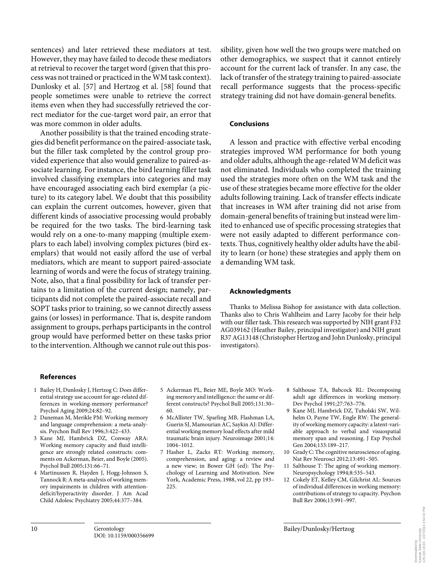sentences) and later retrieved these mediators at test. However, they may have failed to decode these mediators at retrieval to recover the target word (given that this process was not trained or practiced in the WM task context). Dunlosky et al. [57] and Hertzog et al. [58] found that people sometimes were unable to retrieve the correct items even when they had successfully retrieved the correct mediator for the cue-target word pair, an error that was more common in older adults.

 Another possibility is that the trained encoding strategies did benefit performance on the paired-associate task, but the filler task completed by the control group provided experience that also would generalize to paired-associate learning. For instance, the bird learning filler task involved classifying exemplars into categories and may have encouraged associating each bird exemplar (a picture) to its category label. We doubt that this possibility can explain the current outcomes, however, given that different kinds of associative processing would probably be required for the two tasks. The bird-learning task would rely on a one-to-many mapping (multiple exemplars to each label) involving complex pictures (bird exemplars) that would not easily afford the use of verbal mediators, which are meant to support paired-associate learning of words and were the focus of strategy training. Note, also, that a final possibility for lack of transfer pertains to a limitation of the current design; namely, participants did not complete the paired-associate recall and SOPT tasks prior to training, so we cannot directly assess gains (or losses) in performance. That is, despite random assignment to groups, perhaps participants in the control group would have performed better on these tasks prior to the intervention. Although we cannot rule out this possibility, given how well the two groups were matched on other demographics, we suspect that it cannot entirely account for the current lack of transfer. In any case, the lack of transfer of the strategy training to paired-associate recall performance suggests that the process-specific strategy training did not have domain-general benefits.

# **Conclusions**

 A lesson and practice with effective verbal encoding strategies improved WM performance for both young and older adults, although the age-related WM deficit was not eliminated. Individuals who completed the training used the strategies more often on the WM task and the use of these strategies became more effective for the older adults following training. Lack of transfer effects indicate that increases in WM after training did not arise from domain-general benefits of training but instead were limited to enhanced use of specific processing strategies that were not easily adapted to different performance contexts. Thus, cognitively healthy older adults have the ability to learn (or hone) these strategies and apply them on a demanding WM task.

#### **Acknowledgments**

 Thanks to Melissa Bishop for assistance with data collection. Thanks also to Chris Wahlheim and Larry Jacoby for their help with our filler task. This research was supported by NIH grant F32 AG039162 (Heather Bailey, principal investigator) and NIH grant R37 AG13148 (Christopher Hertzog and John Dunlosky, principal investigators).

# **References**

- 1 Bailey H, Dunlosky J, Hertzog C: Does differential strategy use account for age-related differences in working-memory performance? Psychol Aging 2009;24:82–92.
- 2 Daneman M, Merikle PM: Working memory and language comprehension: a meta-analysis. Psychon Bull Rev 1996;3:422–433.
- 3 Kane MJ, Hambrick DZ, Conway ARA: Working memory capacity and fluid intelligence are strongly related constructs: comments on Ackerman, Beier, and Boyle (2005). Psychol Bull 2005;131:66–71.
- 4 Martinussen R, Hayden J, Hogg-Johnson S, Tannock R: A meta-analysis of working memory impairments in children with attentiondeficit/hyperactivity disorder. J Am Acad Child Adolesc Psychiatry 2005;44:377–384.
- 5 Ackerman PL, Beier ME, Boyle MO: Working memory and intelligence: the same or different constructs? Psychol Bull 2005;131:30– 60.
- 6 McAllister TW, Sparling MB, Flashman LA, Guerin SJ, Mamourian AC, Saykin AJ: Differential working memory load effects after mild traumatic brain injury. Neuroimage 2001;14: 1004–1012.
- 7 Hasher L, Zacks RT: Working memory, comprehension, and aging: a review and a new view; in Bower GH (ed): The Psychology of Learning and Motivation. New York, Academic Press, 1988, vol 22, pp 193– 225.
- 8 Salthouse TA, Babcock RL: Decomposing adult age differences in working memory. Dev Psychol 1991;27:763–776.
- 9 Kane MJ, Hambrick DZ, Tuholski SW, Wilhelm O, Payne TW, Engle RW: The generality of working memory capacity: a latent-variable approach to verbal and visuospatial memory span and reasoning. J Exp Psychol Gen 2004;133:189–217.
- 10 Grady C: The cognitive neuroscience of aging. Nat Rev Neurosci 2012;13:491–505.
- 11 Salthouse T: The aging of working memory. Neuropsychology 1994;8:535–543.
- 12 Cokely ET, Kelley CM, Gilchrist AL: Sources of individual differences in working memory: contributions of strategy to capacity. Psychon Bull Rev 2006;13:991–997.